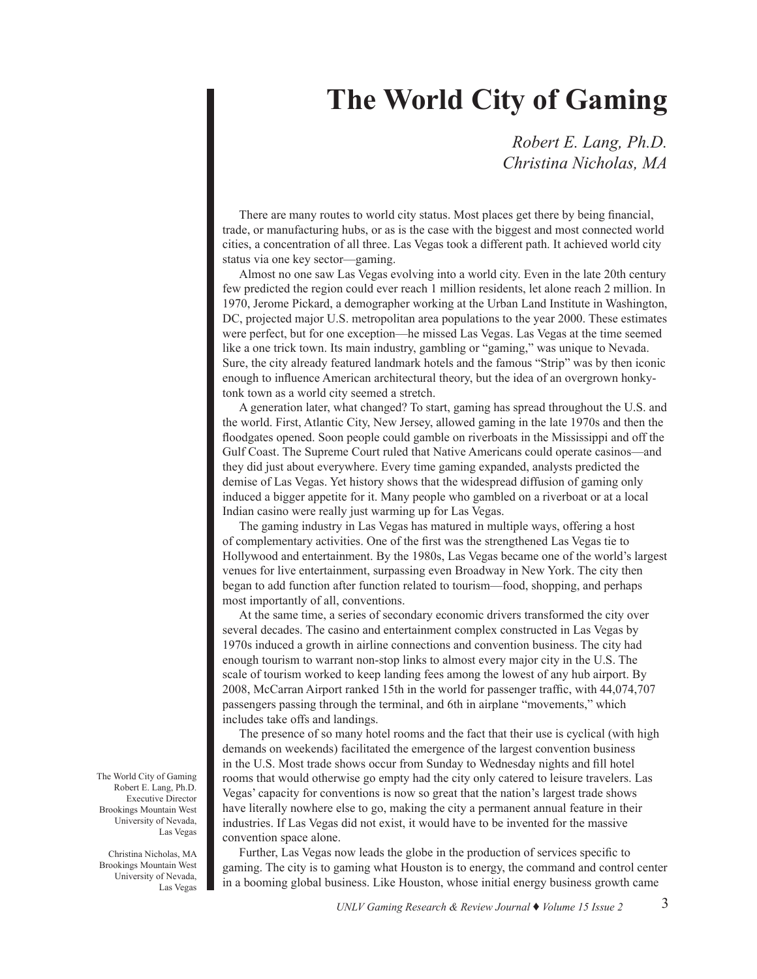## **The World City of Gaming**

*Robert E. Lang, Ph.D. Christina Nicholas, MA*

There are many routes to world city status. Most places get there by being financial, trade, or manufacturing hubs, or as is the case with the biggest and most connected world cities, a concentration of all three. Las Vegas took a different path. It achieved world city status via one key sector—gaming.

Almost no one saw Las Vegas evolving into a world city. Even in the late 20th century few predicted the region could ever reach 1 million residents, let alone reach 2 million. In 1970, Jerome Pickard, a demographer working at the Urban Land Institute in Washington, DC, projected major U.S. metropolitan area populations to the year 2000. These estimates were perfect, but for one exception—he missed Las Vegas. Las Vegas at the time seemed like a one trick town. Its main industry, gambling or "gaming," was unique to Nevada. Sure, the city already featured landmark hotels and the famous "Strip" was by then iconic enough to influence American architectural theory, but the idea of an overgrown honkytonk town as a world city seemed a stretch.

A generation later, what changed? To start, gaming has spread throughout the U.S. and the world. First, Atlantic City, New Jersey, allowed gaming in the late 1970s and then the floodgates opened. Soon people could gamble on riverboats in the Mississippi and off the Gulf Coast. The Supreme Court ruled that Native Americans could operate casinos—and they did just about everywhere. Every time gaming expanded, analysts predicted the demise of Las Vegas. Yet history shows that the widespread diffusion of gaming only induced a bigger appetite for it. Many people who gambled on a riverboat or at a local Indian casino were really just warming up for Las Vegas.

The gaming industry in Las Vegas has matured in multiple ways, offering a host of complementary activities. One of the first was the strengthened Las Vegas tie to Hollywood and entertainment. By the 1980s, Las Vegas became one of the world's largest venues for live entertainment, surpassing even Broadway in New York. The city then began to add function after function related to tourism—food, shopping, and perhaps most importantly of all, conventions.

At the same time, a series of secondary economic drivers transformed the city over several decades. The casino and entertainment complex constructed in Las Vegas by 1970s induced a growth in airline connections and convention business. The city had enough tourism to warrant non-stop links to almost every major city in the U.S. The scale of tourism worked to keep landing fees among the lowest of any hub airport. By 2008, McCarran Airport ranked 15th in the world for passenger traffic, with 44,074,707 passengers passing through the terminal, and 6th in airplane "movements," which includes take offs and landings.

The presence of so many hotel rooms and the fact that their use is cyclical (with high demands on weekends) facilitated the emergence of the largest convention business in the U.S. Most trade shows occur from Sunday to Wednesday nights and fill hotel rooms that would otherwise go empty had the city only catered to leisure travelers. Las Vegas' capacity for conventions is now so great that the nation's largest trade shows have literally nowhere else to go, making the city a permanent annual feature in their industries. If Las Vegas did not exist, it would have to be invented for the massive convention space alone.

Further, Las Vegas now leads the globe in the production of services specific to gaming. The city is to gaming what Houston is to energy, the command and control center in a booming global business. Like Houston, whose initial energy business growth came

The World City of Gaming Robert E. Lang, Ph.D. Executive Director Brookings Mountain West University of Nevada, Las Vegas

Christina Nicholas, MA Brookings Mountain West University of Nevada, Las Vegas